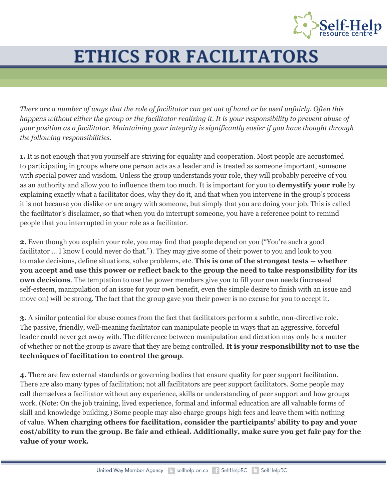

## **ETHICS FOR FACILITATORS**

*There are a number of ways that the role of facilitator can get out of hand or be used unfairly. Often this happens without either the group or the facilitator realizing it. It is your responsibility to prevent abuse of your position as a facilitator. Maintaining your integrity is significantly easier if you have thought through the following responsibilities.*

**1.** It is not enough that you yourself are striving for equality and cooperation. Most people are accustomed to participating in groups where one person acts as a leader and is treated as someone important, someone with special power and wisdom. Unless the group understands your role, they will probably perceive of you as an authority and allow you to influence them too much. It is important for you to **demystify your role** by explaining exactly what a facilitator does, why they do it, and that when you intervene in the group's process it is not because you dislike or are angry with someone, but simply that you are doing your job. This is called the facilitator's disclaimer, so that when you do interrupt someone, you have a reference point to remind people that you interrupted in your role as a facilitator.

**2.** Even though you explain your role, you may find that people depend on you ("You're such a good facilitator ... I know I could never do that."). They may give some of their power to you and look to you to make decisions, define situations, solve problems, etc. **This is one of the strongest tests -- whether you accept and use this power or reflect back to the group the need to take responsibility for its own decisions**. The temptation to use the power members give you to fill your own needs (increased self-esteem, manipulation of an issue for your own benefit, even the simple desire to finish with an issue and move on) will be strong. The fact that the group gave you their power is no excuse for you to accept it.

**3.** A similar potential for abuse comes from the fact that facilitators perform a subtle, non-directive role. The passive, friendly, well-meaning facilitator can manipulate people in ways that an aggressive, forceful leader could never get away with. The difference between manipulation and dictation may only be a matter of whether or not the group is aware that they are being controlled. **It is your responsibility not to use the techniques of facilitation to control the group**.

**4.** There are few external standards or governing bodies that ensure quality for peer support facilitation. There are also many types of facilitation; not all facilitators are peer support facilitators. Some people may call themselves a facilitator without any experience, skills or understanding of peer support and how groups work. (Note: On the job training, lived experience, formal and informal education are all valuable forms of skill and knowledge building.) Some people may also charge groups high fees and leave them with nothing of value. **When charging others for facilitation, consider the participants' ability to pay and your cost/ability to run the group. Be fair and ethical. Additionally, make sure you get fair pay for the value of your work.**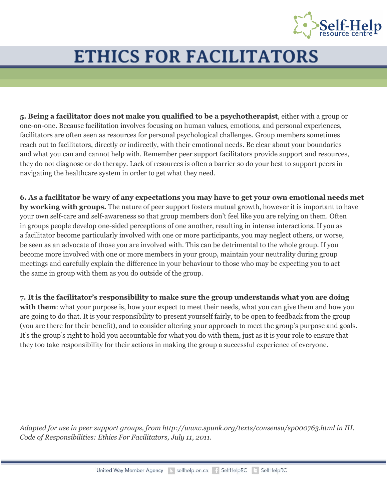

## **ETHICS FOR FACILITATORS**

**5. Being a facilitator does not make you qualified to be a psychotherapist**, either with a group or one-on-one. Because facilitation involves focusing on human values, emotions, and personal experiences, facilitators are often seen as resources for personal psychological challenges. Group members sometimes reach out to facilitators, directly or indirectly, with their emotional needs. Be clear about your boundaries and what you can and cannot help with. Remember peer support facilitators provide support and resources, they do not diagnose or do therapy. Lack of resources is often a barrier so do your best to support peers in navigating the healthcare system in order to get what they need.

**6. As a facilitator be wary of any expectations you may have to get your own emotional needs met by working with groups.** The nature of peer support fosters mutual growth, however it is important to have your own self-care and self-awareness so that group members don't feel like you are relying on them. Often in groups people develop one-sided perceptions of one another, resulting in intense interactions. If you as a facilitator become particularly involved with one or more participants, you may neglect others, or worse, be seen as an advocate of those you are involved with. This can be detrimental to the whole group. If you become more involved with one or more members in your group, maintain your neutrality during group meetings and carefully explain the difference in your behaviour to those who may be expecting you to act the same in group with them as you do outside of the group.

**7. It is the facilitator's responsibility to make sure the group understands what you are doing** with them: what your purpose is, how your expect to meet their needs, what you can give them and how you are going to do that. It is your responsibility to present yourself fairly, to be open to feedback from the group (you are there for their benefit), and to consider altering your approach to meet the group's purpose and goals. It's the group's right to hold you accountable for what you do with them, just as it is your role to ensure that they too take responsibility for their actions in making the group a successful experience of everyone.

*Adapted for use in peer support groups, from http://www.spunk.org/texts/consensu/sp000763.html in III. Code of Responsibilities: Ethics For Facilitators, July 11, 2011.*